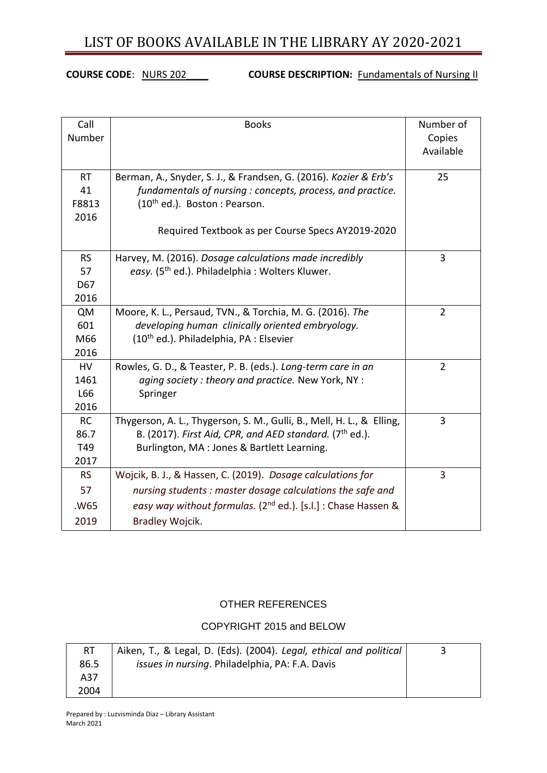**COURSE CODE:** NURS 202\_\_\_\_ **COURSE DESCRIPTION: Fundamentals of Nursing II** 

| Call<br>Number | <b>Books</b>                                                              | Number of<br>Copies<br>Available |
|----------------|---------------------------------------------------------------------------|----------------------------------|
| <b>RT</b>      | Berman, A., Snyder, S. J., & Frandsen, G. (2016). Kozier & Erb's          | 25                               |
| 41             | fundamentals of nursing : concepts, process, and practice.                |                                  |
| F8813<br>2016  | $(10^{th}$ ed.). Boston: Pearson.                                         |                                  |
|                | Required Textbook as per Course Specs AY2019-2020                         |                                  |
| <b>RS</b>      | Harvey, M. (2016). Dosage calculations made incredibly                    | 3                                |
| 57             | easy. (5 <sup>th</sup> ed.). Philadelphia: Wolters Kluwer.                |                                  |
| D67            |                                                                           |                                  |
| 2016           |                                                                           |                                  |
| QM             | Moore, K. L., Persaud, TVN., & Torchia, M. G. (2016). The                 | $\overline{2}$                   |
| 601            | developing human clinically oriented embryology.                          |                                  |
| M66            | (10 <sup>th</sup> ed.). Philadelphia, PA : Elsevier                       |                                  |
| 2016           |                                                                           |                                  |
| HV             | Rowles, G. D., & Teaster, P. B. (eds.). Long-term care in an              | $\overline{2}$                   |
| 1461           | aging society: theory and practice. New York, NY:                         |                                  |
| L66            | Springer                                                                  |                                  |
| 2016           |                                                                           |                                  |
| <b>RC</b>      | Thygerson, A. L., Thygerson, S. M., Gulli, B., Mell, H. L., & Elling,     | 3                                |
| 86.7           | B. (2017). First Aid, CPR, and AED standard. (7th ed.).                   |                                  |
| T49<br>2017    | Burlington, MA : Jones & Bartlett Learning.                               |                                  |
| <b>RS</b>      | Wojcik, B. J., & Hassen, C. (2019). Dosage calculations for               | 3                                |
|                |                                                                           |                                  |
| 57             | nursing students: master dosage calculations the safe and                 |                                  |
| .W65           | easy way without formulas. (2 <sup>nd</sup> ed.). [s.l.] : Chase Hassen & |                                  |
| 2019           | Bradley Wojcik.                                                           |                                  |

### OTHER REFERENCES

### COPYRIGHT 2015 and BELOW

| RT   | Aiken, T., & Legal, D. (Eds). (2004). Legal, ethical and political |  |
|------|--------------------------------------------------------------------|--|
| 86.5 | <i>issues in nursing.</i> Philadelphia, PA: F.A. Davis             |  |
| A37  |                                                                    |  |
| 2004 |                                                                    |  |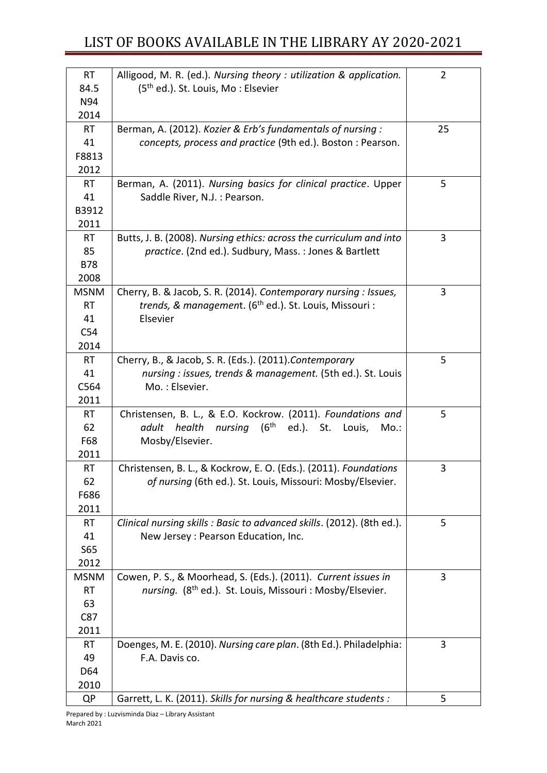| <b>RT</b><br>84.5<br>N94 | Alligood, M. R. (ed.). Nursing theory : utilization & application.<br>(5 <sup>th</sup> ed.). St. Louis, Mo: Elsevier         | $\overline{2}$ |
|--------------------------|------------------------------------------------------------------------------------------------------------------------------|----------------|
| 2014                     |                                                                                                                              |                |
| <b>RT</b>                | Berman, A. (2012). Kozier & Erb's fundamentals of nursing:                                                                   | 25             |
| 41                       | concepts, process and practice (9th ed.). Boston: Pearson.                                                                   |                |
| F8813                    |                                                                                                                              |                |
| 2012                     |                                                                                                                              |                |
| <b>RT</b>                | Berman, A. (2011). Nursing basics for clinical practice. Upper                                                               | 5              |
| 41                       | Saddle River, N.J. : Pearson.                                                                                                |                |
| B3912                    |                                                                                                                              |                |
| 2011<br><b>RT</b>        |                                                                                                                              | 3              |
| 85                       | Butts, J. B. (2008). Nursing ethics: across the curriculum and into<br>practice. (2nd ed.). Sudbury, Mass.: Jones & Bartlett |                |
| <b>B78</b>               |                                                                                                                              |                |
| 2008                     |                                                                                                                              |                |
| <b>MSNM</b>              | Cherry, B. & Jacob, S. R. (2014). Contemporary nursing : Issues,                                                             | 3              |
| <b>RT</b>                | trends, & management. (6 <sup>th</sup> ed.). St. Louis, Missouri :                                                           |                |
| 41                       | Elsevier                                                                                                                     |                |
| C54                      |                                                                                                                              |                |
| 2014                     |                                                                                                                              |                |
| <b>RT</b>                | Cherry, B., & Jacob, S. R. (Eds.). (2011). Contemporary                                                                      | 5              |
| 41                       | nursing : issues, trends & management. (5th ed.). St. Louis                                                                  |                |
| C564                     | Mo.: Elsevier.                                                                                                               |                |
| 2011                     |                                                                                                                              |                |
| <b>RT</b>                | Christensen, B. L., & E.O. Kockrow. (2011). Foundations and                                                                  | 5              |
| 62<br>F68                | nursing (6 <sup>th</sup><br>ed.). St. Louis,<br>adult<br>health<br>Mo.                                                       |                |
| 2011                     | Mosby/Elsevier.                                                                                                              |                |
| <b>RT</b>                | Christensen, B. L., & Kockrow, E. O. (Eds.). (2011). Foundations                                                             | 3              |
| 62                       | of nursing (6th ed.). St. Louis, Missouri: Mosby/Elsevier.                                                                   |                |
| F686                     |                                                                                                                              |                |
| 2011                     |                                                                                                                              |                |
| RT                       | Clinical nursing skills : Basic to advanced skills. (2012). (8th ed.).                                                       | 5              |
| 41                       | New Jersey : Pearson Education, Inc.                                                                                         |                |
| S65                      |                                                                                                                              |                |
| 2012                     |                                                                                                                              |                |
| <b>MSNM</b>              | Cowen, P. S., & Moorhead, S. (Eds.). (2011). Current issues in                                                               | 3              |
| <b>RT</b>                | nursing. (8 <sup>th</sup> ed.). St. Louis, Missouri : Mosby/Elsevier.                                                        |                |
| 63                       |                                                                                                                              |                |
| C87<br>2011              |                                                                                                                              |                |
| RT                       | Doenges, M. E. (2010). Nursing care plan. (8th Ed.). Philadelphia:                                                           | 3              |
| 49                       | F.A. Davis co.                                                                                                               |                |
| D64                      |                                                                                                                              |                |
| 2010                     |                                                                                                                              |                |
| <b>QP</b>                | Garrett, L. K. (2011). Skills for nursing & healthcare students :                                                            | 5              |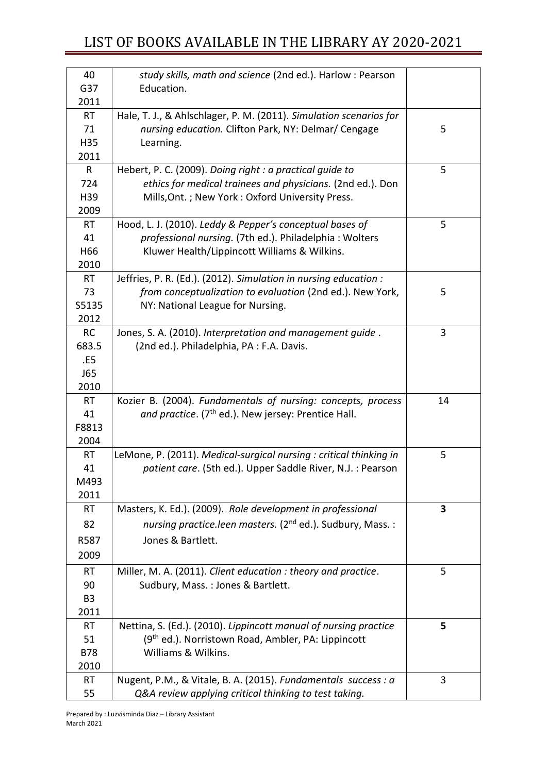| 40                | study skills, math and science (2nd ed.). Harlow: Pearson              |    |
|-------------------|------------------------------------------------------------------------|----|
| G37               | Education.                                                             |    |
| 2011              |                                                                        |    |
| <b>RT</b>         | Hale, T. J., & Ahlschlager, P. M. (2011). Simulation scenarios for     |    |
| 71                | nursing education. Clifton Park, NY: Delmar/ Cengage                   | 5  |
| H35               | Learning.                                                              |    |
| 2011              |                                                                        |    |
| R                 | Hebert, P. C. (2009). Doing right: a practical guide to                | 5  |
| 724               | ethics for medical trainees and physicians. (2nd ed.). Don             |    |
| H39               | Mills, Ont. ; New York : Oxford University Press.                      |    |
| 2009              |                                                                        |    |
| <b>RT</b>         | Hood, L. J. (2010). Leddy & Pepper's conceptual bases of               | 5  |
| 41                | professional nursing. (7th ed.). Philadelphia: Wolters                 |    |
| H66               | Kluwer Health/Lippincott Williams & Wilkins.                           |    |
| 2010              |                                                                        |    |
| <b>RT</b>         | Jeffries, P. R. (Ed.). (2012). Simulation in nursing education :       |    |
| 73                | from conceptualization to evaluation (2nd ed.). New York,              | 5  |
| S5135             | NY: National League for Nursing.                                       |    |
| 2012<br><b>RC</b> | Jones, S. A. (2010). Interpretation and management guide.              | 3  |
| 683.5             | (2nd ed.). Philadelphia, PA : F.A. Davis.                              |    |
| .E5               |                                                                        |    |
| <b>J65</b>        |                                                                        |    |
| 2010              |                                                                        |    |
| <b>RT</b>         | Kozier B. (2004). Fundamentals of nursing: concepts, process           | 14 |
| 41                | and practice. (7 <sup>th</sup> ed.). New jersey: Prentice Hall.        |    |
| F8813             |                                                                        |    |
| 2004              |                                                                        |    |
| <b>RT</b>         | LeMone, P. (2011). Medical-surgical nursing : critical thinking in     | 5  |
| 41                | patient care. (5th ed.). Upper Saddle River, N.J. : Pearson            |    |
| M493              |                                                                        |    |
| 2011              |                                                                        |    |
| <b>RT</b>         | Masters, K. Ed.). (2009). Role development in professional             | 3  |
| 82                | nursing practice.leen masters. (2 <sup>nd</sup> ed.). Sudbury, Mass. : |    |
| R587              | Jones & Bartlett.                                                      |    |
| 2009              |                                                                        |    |
| <b>RT</b>         | Miller, M. A. (2011). Client education : theory and practice.          | 5  |
| 90                | Sudbury, Mass.: Jones & Bartlett.                                      |    |
| B <sub>3</sub>    |                                                                        |    |
| 2011              |                                                                        |    |
| <b>RT</b>         | Nettina, S. (Ed.). (2010). Lippincott manual of nursing practice       | 5  |
| 51                | (9 <sup>th</sup> ed.). Norristown Road, Ambler, PA: Lippincott         |    |
| <b>B78</b>        | Williams & Wilkins.                                                    |    |
| 2010              |                                                                        |    |
| <b>RT</b>         | Nugent, P.M., & Vitale, B. A. (2015). Fundamentals success : a         | 3  |
| 55                | Q&A review applying critical thinking to test taking.                  |    |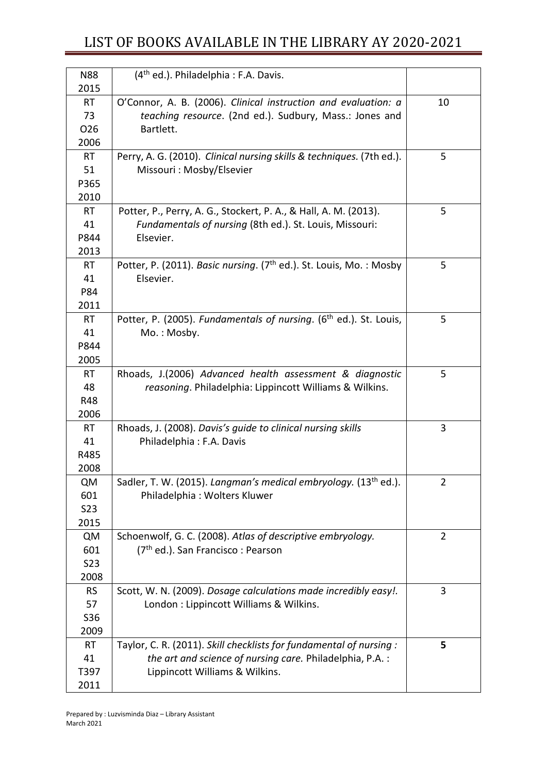| <b>N88</b><br>2015                         | (4 <sup>th</sup> ed.). Philadelphia: F.A. Davis.                                                                                                                 |                |
|--------------------------------------------|------------------------------------------------------------------------------------------------------------------------------------------------------------------|----------------|
| <b>RT</b><br>73<br>O <sub>26</sub><br>2006 | O'Connor, A. B. (2006). Clinical instruction and evaluation: a<br>teaching resource. (2nd ed.). Sudbury, Mass.: Jones and<br>Bartlett.                           | 10             |
| <b>RT</b><br>51<br>P365<br>2010            | Perry, A. G. (2010). Clinical nursing skills & techniques. (7th ed.).<br>Missouri: Mosby/Elsevier                                                                | 5              |
| <b>RT</b><br>41<br>P844<br>2013            | Potter, P., Perry, A. G., Stockert, P. A., & Hall, A. M. (2013).<br>Fundamentals of nursing (8th ed.). St. Louis, Missouri:<br>Elsevier.                         | 5              |
| <b>RT</b><br>41<br>P84<br>2011             | Potter, P. (2011). Basic nursing. (7 <sup>th</sup> ed.). St. Louis, Mo.: Mosby<br>Elsevier.                                                                      | 5              |
| <b>RT</b><br>41<br>P844<br>2005            | Potter, P. (2005). Fundamentals of nursing. (6th ed.). St. Louis,<br>Mo.: Mosby.                                                                                 | 5              |
| <b>RT</b><br>48<br><b>R48</b><br>2006      | Rhoads, J.(2006) Advanced health assessment & diagnostic<br>reasoning. Philadelphia: Lippincott Williams & Wilkins.                                              | 5              |
| <b>RT</b><br>41<br>R485<br>2008            | Rhoads, J. (2008). Davis's guide to clinical nursing skills<br>Philadelphia: F.A. Davis                                                                          | 3              |
| <b>QM</b><br>601<br><b>S23</b><br>2015     | Sadler, T. W. (2015). Langman's medical embryology. (13 <sup>th</sup> ed.).<br>Philadelphia: Wolters Kluwer                                                      | $\overline{2}$ |
| <b>QM</b><br>601<br><b>S23</b><br>2008     | Schoenwolf, G. C. (2008). Atlas of descriptive embryology.<br>(7 <sup>th</sup> ed.). San Francisco: Pearson                                                      | $\overline{2}$ |
| <b>RS</b><br>57<br>S36<br>2009             | Scott, W. N. (2009). Dosage calculations made incredibly easy!.<br>London : Lippincott Williams & Wilkins.                                                       | 3              |
| <b>RT</b><br>41<br>T397<br>2011            | Taylor, C. R. (2011). Skill checklists for fundamental of nursing:<br>the art and science of nursing care. Philadelphia, P.A.:<br>Lippincott Williams & Wilkins. | 5              |